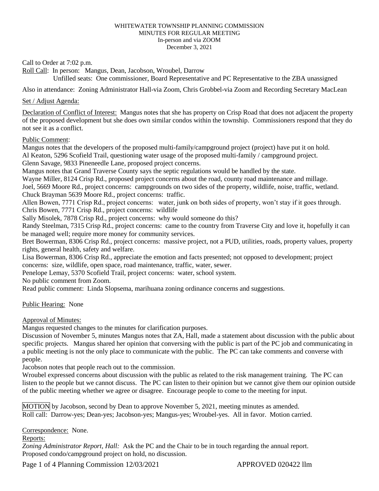#### WHITEWATER TOWNSHIP PLANNING COMMISSION MINUTES FOR REGULAR MEETING In-person and via ZOOM December 3, 2021

Call to Order at 7:02 p.m.

Roll Call: In person: Mangus, Dean, Jacobson, Wroubel, Darrow Unfilled seats: One commissioner, Board Representative and PC Representative to the ZBA unassigned

Also in attendance: Zoning Administrator Hall-via Zoom, Chris Grobbel-via Zoom and Recording Secretary MacLean

### Set / Adjust Agenda:

Declaration of Conflict of Interest: Mangus notes that she has property on Crisp Road that does not adjacent the property of the proposed development but she does own similar condos within the township. Commissioners respond that they do not see it as a conflict.

## Public Comment:

Mangus notes that the developers of the proposed multi-family/campground project (project) have put it on hold. Al Keaton, 5296 Scofield Trail, questioning water usage of the proposed multi-family / campground project.

Glenn Savage, 9833 Pineneedle Lane, proposed project concerns.

Mangus notes that Grand Traverse County says the septic regulations would be handled by the state.

Wayne Miller, 8124 Crisp Rd., proposed project concerns about the road, county road maintenance and millage.

Joel, 5669 Moore Rd., project concerns: campgrounds on two sides of the property, wildlife, noise, traffic, wetland. Chuck Brayman 5639 Moore Rd., project concerns: traffic.

Allen Bowen, 7771 Crisp Rd., project concerns: water, junk on both sides of property, won't stay if it goes through. Chris Bowen, 7771 Crisp Rd., project concerns: wildlife

Sally Misolek, 7878 Crisp Rd., project concerns: why would someone do this?

Randy Steelman, 7315 Crisp Rd., project concerns: came to the country from Traverse City and love it, hopefully it can be managed well; require more money for community services.

Bret Bowerman, 8306 Crisp Rd., project concerns: massive project, not a PUD, utilities, roads, property values, property rights, general health, safety and welfare.

Lisa Bowerman, 8306 Crisp Rd., appreciate the emotion and facts presented; not opposed to development; project concerns: size, wildlife, open space, road maintenance, traffic, water, sewer.

Penelope Lemay, 5370 Scofield Trail, project concerns: water, school system.

No public comment from Zoom.

Read public comment: Linda Slopsema, marihuana zoning ordinance concerns and suggestions.

# Public Hearing: None

Approval of Minutes:

Mangus requested changes to the minutes for clarification purposes.

Discussion of November 5, minutes Mangus notes that ZA, Hall, made a statement about discussion with the public about specific projects. Mangus shared her opinion that conversing with the public is part of the PC job and communicating in a public meeting is not the only place to communicate with the public. The PC can take comments and converse with people.

Jacobson notes that people reach out to the commission.

Wroubel expressed concerns about discussion with the public as related to the risk management training. The PC can listen to the people but we cannot discuss. The PC can listen to their opinion but we cannot give them our opinion outside of the public meeting whether we agree or disagree. Encourage people to come to the meeting for input.

MOTION by Jacobson, second by Dean to approve November 5, 2021, meeting minutes as amended. Roll call: Darrow-yes; Dean-yes; Jacobson-yes; Mangus-yes; Wroubel-yes. All in favor. Motion carried.

Correspondence: None.

#### Reports:

*Zoning Administrator Report, Hall:* Ask the PC and the Chair to be in touch regarding the annual report. Proposed condo/campground project on hold, no discussion.

Page 1 of 4 Planning Commission 12/03/2021 APPROVED 020422 llm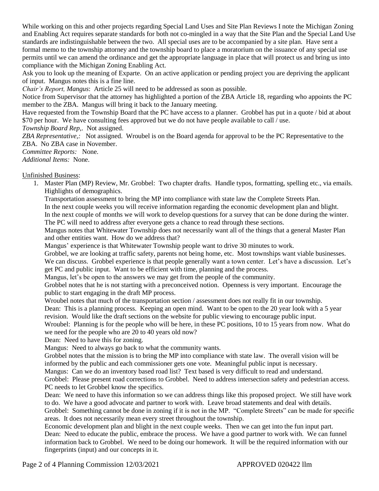While working on this and other projects regarding Special Land Uses and Site Plan Reviews I note the Michigan Zoning and Enabling Act requires separate standards for both not co-mingled in a way that the Site Plan and the Special Land Use standards are indistinguishable between the two. All special uses are to be accompanied by a site plan. Have sent a formal memo to the township attorney and the township board to place a moratorium on the issuance of any special use permits until we can amend the ordinance and get the appropriate language in place that will protect us and bring us into compliance with the Michigan Zoning Enabling Act.

Ask you to look up the meaning of Exparte. On an active application or pending project you are depriving the applicant of input. Mangus notes this is a fine line.

*Chair's Report, Mangus*: Article 25 will need to be addressed as soon as possible.

Notice from Supervisor that the attorney has highlighted a portion of the ZBA Article 18, regarding who appoints the PC member to the ZBA. Mangus will bring it back to the January meeting.

Have requested from the Township Board that the PC have access to a planner. Grobbel has put in a quote / bid at about \$70 per hour. We have consulting fees approved but we do not have people available to call / use.

*Township Board Rep,*. Not assigned.

*ZBA Representative,:* Not assigned. Wroubel is on the Board agenda for approval to be the PC Representative to the ZBA. No ZBA case in November.

*Committee Reports:* None.

*Additional Items:* None.

Unfinished Business:

1. Master Plan (MP) Review, Mr. Grobbel: Two chapter drafts. Handle typos, formatting, spelling etc., via emails. Highlights of demographics.

Transportation assessment to bring the MP into compliance with state law the Complete Streets Plan. In the next couple weeks you will receive information regarding the economic development plan and blight. In the next couple of months we will work to develop questions for a survey that can be done during the winter.

The PC will need to address after everyone gets a chance to read through these sections. Mangus notes that Whitewater Township does not necessarily want all of the things that a general Master Plan

and other entities want. How do we address that?

Mangus' experience is that Whitewater Township people want to drive 30 minutes to work.

Grobbel, we are looking at traffic safety, parents not being home, etc. Most townships want viable businesses. We can discuss. Grobbel experience is that people generally want a town center. Let's have a discussion. Let's get PC and public input. Want to be efficient with time, planning and the process.

Mangus, let's be open to the answers we may get from the people of the community.

Grobbel notes that he is not starting with a preconceived notion. Openness is very important. Encourage the public to start engaging in the draft MP process.

Wroubel notes that much of the transportation section / assessment does not really fit in our township.

Dean: This is a planning process. Keeping an open mind. Want to be open to the 20 year look with a 5 year revision. Would like the draft sections on the website for public viewing to encourage public input.

Wroubel: Planning is for the people who will be here, in these PC positions, 10 to 15 years from now. What do we need for the people who are 20 to 40 years old now?

Dean: Need to have this for zoning.

Mangus: Need to always go back to what the community wants.

Grobbel notes that the mission is to bring the MP into compliance with state law. The overall vision will be informed by the public and each commissioner gets one vote. Meaningful public input is necessary.

Mangus: Can we do an inventory based road list? Text based is very difficult to read and understand.

Grobbel: Please present road corrections to Grobbel. Need to address intersection safety and pedestrian access. PC needs to let Grobbel know the specifics.

Dean: We need to have this information so we can address things like this proposed project. We still have work to do. We have a good advocate and partner to work with. Leave broad statements and deal with details.

Grobbel: Something cannot be done in zoning if it is not in the MP. "Complete Streets" can be made for specific areas. It does not necessarily mean every street throughout the township.

Economic development plan and blight in the next couple weeks. Then we can get into the fun input part. Dean: Need to educate the public, embrace the process. We have a good partner to work with. We can funnel information back to Grobbel. We need to be doing our homework. It will be the required information with our fingerprints (input) and our concepts in it.

Page 2 of 4 Planning Commission 12/03/2021 APPROVED 020422 llm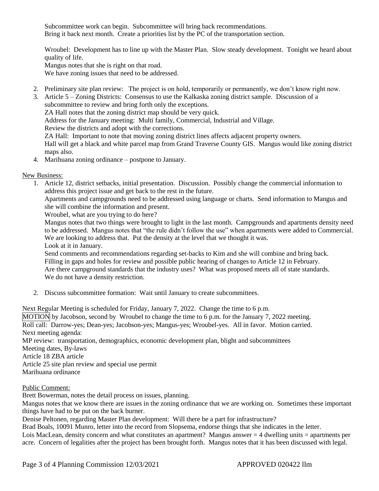Subcommittee work can begin. Subcommittee will bring back recommendations. Bring it back next month. Create a priorities list by the PC of the transportation section.

Wroubel: Development has to line up with the Master Plan. Slow steady development. Tonight we heard about quality of life.

Mangus notes that she is right on that road.

We have zoning issues that need to be addressed.

2. Preliminary site plan review: The project is on hold, temporarily or permanently, we don't know right now.

3. Article 5 – Zoning Districts: Consensus to use the Kalkaska zoning district sample. Discussion of a subcommittee to review and bring forth only the exceptions.

ZA Hall notes that the zoning district map should be very quick.

Address for the January meeting: Multi family, Commercial, Industrial and Village.

Review the districts and adopt with the corrections.

ZA Hall: Important to note that moving zoning district lines affects adjacent property owners.

Hall will get a black and white parcel map from Grand Traverse County GIS. Mangus would like zoning district maps also.

4. Marihuana zoning ordinance – postpone to January.

New Business:

1. Article 12, district setbacks, initial presentation. Discussion. Possibly change the commercial information to address this project issue and get back to the rest in the future.

Apartments and campgrounds need to be addressed using language or charts. Send information to Mangus and she will combine the information and present.

Wroubel, what are you trying to do here?

Mangus notes that two things were brought to light in the last month. Campgrounds and apartments density need to be addressed. Mangus notes that "the rule didn't follow the use" when apartments were added to Commercial. We are looking to address that. Put the density at the level that we thought it was.

Look at it in January.

Send comments and recommendations regarding set-backs to Kim and she will combine and bring back. Filling in gaps and holes for review and possible public hearing of changes to Article 12 in February. Are there campground standards that the industry uses? What was proposed meets all of state standards. We do not have a density restriction.

2. Discuss subcommittee formation: Wait until January to create subcommittees.

Next Regular Meeting is scheduled for Friday, January 7, 2022. Change the time to 6 p.m. MOTION by Jacobson, second by Wroubel to change the time to 6 p.m. for the January 7, 2022 meeting. Roll call: Darrow-yes; Dean-yes; Jacobson-yes; Mangus-yes; Wroubel-yes. All in favor. Motion carried. Next meeting agenda: MP review: transportation, demographics, economic development plan, blight and subcommittees Meeting dates, By-laws Article 18 ZBA article

Article 25 site plan review and special use permit Marihuana ordinance

Public Comment:

Brett Bowerman, notes the detail process on issues, planning.

Mangus notes that we know there are issues in the zoning ordinance that we are working on. Sometimes these important things have had to be put on the back burner.

Denise Peltonen, regarding Master Plan development: Will there be a part for infrastructure?

Brad Boals, 10091 Munro, letter into the record from Slopsema, endorse things that she indicates in the letter. Lois MacLean, density concern and what constitutes an apartment? Mangus answer = 4 dwelling units = apartments per acre. Concern of legalities after the project has been brought forth. Mangus notes that it has been discussed with legal.